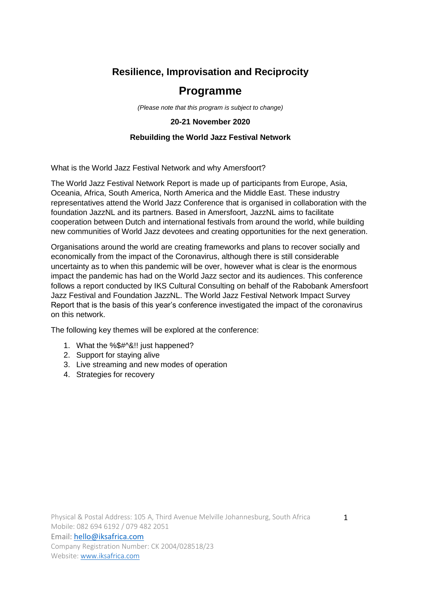# **Resilience, Improvisation and Reciprocity**

# **Programme**

*(Please note that this program is subject to change)*

## **20-21 November 2020**

# **Rebuilding the World Jazz Festival Network**

What is the World Jazz Festival Network and why Amersfoort?

The World Jazz Festival Network Report is made up of participants from Europe, Asia, Oceania, Africa, South America, North America and the Middle East. These industry representatives attend the World Jazz Conference that is organised in collaboration with the foundation JazzNL and its partners. Based in Amersfoort, JazzNL aims to facilitate cooperation between Dutch and international festivals from around the world, while building new communities of World Jazz devotees and creating opportunities for the next generation.

Organisations around the world are creating frameworks and plans to recover socially and economically from the impact of the Coronavirus, although there is still considerable uncertainty as to when this pandemic will be over, however what is clear is the enormous impact the pandemic has had on the World Jazz sector and its audiences. This conference follows a report conducted by IKS Cultural Consulting on behalf of the Rabobank Amersfoort Jazz Festival and Foundation JazzNL. The World Jazz Festival Network Impact Survey Report that is the basis of this year's conference investigated the impact of the coronavirus on this network.

The following key themes will be explored at the conference:

- 1. What the %\$#^&!! just happened?
- 2. Support for staying alive
- 3. Live streaming and new modes of operation
- 4. Strategies for recovery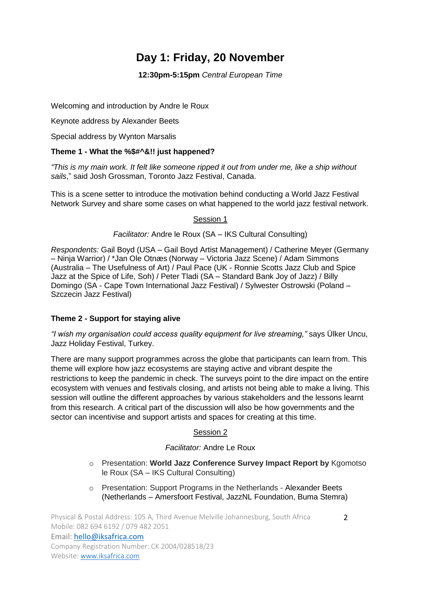# **Day 1: Friday, 20 November**

**12:30pm-5:15pm** *Central European Time*

Welcoming and introduction by Andre le Roux

Keynote address by Alexander Beets

Special address by Wynton Marsalis

# **Theme 1 - What the %\$#^&!! just happened?**

*"This is my main work. It felt like someone ripped it out from under me, like a ship without sails*," said Josh Grossman, Toronto Jazz Festival, Canada.

This is a scene setter to introduce the motivation behind conducting a World Jazz Festival Network Survey and share some cases on what happened to the world jazz festival network.

### Session 1

*Facilitator:* Andre le Roux (SA – IKS Cultural Consulting)

*Respondents:* Gail Boyd (USA – Gail Boyd Artist Management) / Catherine Meyer (Germany – Ninja Warrior) / \*Jan Ole Otnæs (Norway – Victoria Jazz Scene) / Adam Simmons (Australia – The Usefulness of Art) / Paul Pace (UK - Ronnie Scotts Jazz Club and Spice Jazz at the Spice of Life, Soh) / Peter Tladi (SA – Standard Bank Joy of Jazz) / Billy Domingo (SA - Cape Town International Jazz Festival) / Sylwester Ostrowski (Poland – Szczecin Jazz Festival)

# **Theme 2 - Support for staying alive**

*"I wish my organisation could access quality equipment for live streaming,"* says Ülker Uncu, Jazz Holiday Festival, Turkey.

There are many support programmes across the globe that participants can learn from. This theme will explore how jazz ecosystems are staying active and vibrant despite the restrictions to keep the pandemic in check. The surveys point to the dire impact on the entire ecosystem with venues and festivals closing, and artists not being able to make a living. This session will outline the different approaches by various stakeholders and the lessons learnt from this research. A critical part of the discussion will also be how governments and the sector can incentivise and support artists and spaces for creating at this time.

# Session 2

# *Facilitator:* Andre Le Roux

- o Presentation: **World Jazz Conference Survey Impact Report by** Kgomotso le Roux (SA – IKS Cultural Consulting)
- o Presentation: Support Programs in the Netherlands Alexander Beets (Netherlands – Amersfoort Festival, JazzNL Foundation, Buma Stemra)

Physical & Postal Address: 105 A, Third Avenue Melville Johannesburg, South Africa Mobile: 082 694 6192 / 079 482 2051 Email: [hello@iksafrica.com](mailto:hello@iksafrica.com) Company Registration Number: CK 2004/028518/23 Website: [www.iksafrica.com](http://www.iksafrica.com/)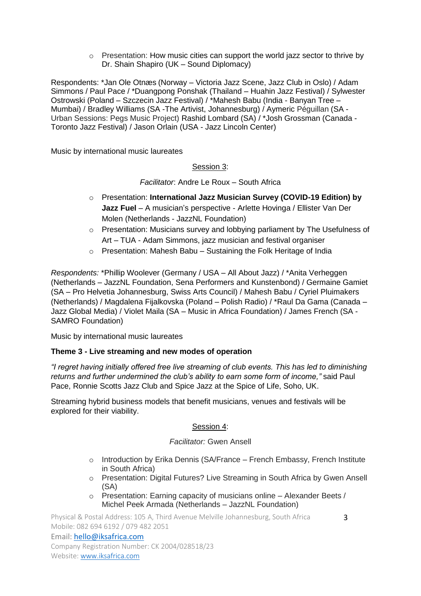$\circ$  Presentation: How music cities can support the world jazz sector to thrive by Dr. Shain Shapiro (UK – Sound Diplomacy)

Respondents: \*Jan Ole Otnæs (Norway – Victoria Jazz Scene, Jazz Club in Oslo) / Adam Simmons / Paul Pace / \*Duangpong Ponshak (Thailand – Huahin Jazz Festival) / Sylwester Ostrowski (Poland – Szczecin Jazz Festival) / \*Mahesh Babu (India - Banyan Tree – Mumbai) / Bradley Williams (SA -The Artivist, Johannesburg) / Aymeric Péguillan (SA - Urban Sessions: Pegs Music Project) Rashid Lombard (SA) / \*Josh Grossman (Canada - Toronto Jazz Festival) / Jason Orlain (USA - Jazz Lincoln Center)

Music by international music laureates

Session 3:

*Facilitator*: Andre Le Roux – South Africa

- o Presentation: **International Jazz Musician Survey (COVID-19 Edition) by Jazz Fuel** – A musician's perspective - Arlette Hovinga / Ellister Van Der Molen (Netherlands - JazzNL Foundation)
- $\circ$  Presentation: Musicians survey and lobbying parliament by The Usefulness of Art – TUA - Adam Simmons, jazz musician and festival organiser
- o Presentation: Mahesh Babu Sustaining the Folk Heritage of India

*Respondents:* \*Phillip Woolever (Germany / USA – All About Jazz) / \*Anita Verheggen (Netherlands – JazzNL Foundation, Sena Performers and Kunstenbond) / Germaine Gamiet (SA – Pro Helvetia Johannesburg, Swiss Arts Council) / Mahesh Babu / Cyriel Pluimakers (Netherlands) / Magdalena Fijalkovska (Poland – Polish Radio) / \*Raul Da Gama (Canada – Jazz Global Media) / Violet Maila (SA – Music in Africa Foundation) / James French (SA - SAMRO Foundation)

Music by international music laureates

#### **Theme 3 - Live streaming and new modes of operation**

*"I regret having initially offered free live streaming of club events. This has led to diminishing returns and further undermined the club's ability to earn some form of income,"* said Paul Pace, Ronnie Scotts Jazz Club and Spice Jazz at the Spice of Life, Soho, UK.

Streaming hybrid business models that benefit musicians, venues and festivals will be explored for their viability.

#### Session 4:

#### *Facilitator:* Gwen Ansell

- $\circ$  Introduction by Erika Dennis (SA/France French Embassy, French Institute in South Africa)
- o Presentation: Digital Futures? Live Streaming in South Africa by Gwen Ansell (SA)
- o Presentation: Earning capacity of musicians online Alexander Beets / Michel Peek Armada (Netherlands – JazzNL Foundation)

Physical & Postal Address: 105 A, Third Avenue Melville Johannesburg, South Africa Mobile: 082 694 6192 / 079 482 2051

Company Registration Number: CK 2004/028518/23 Website: [www.iksafrica.com](http://www.iksafrica.com/)